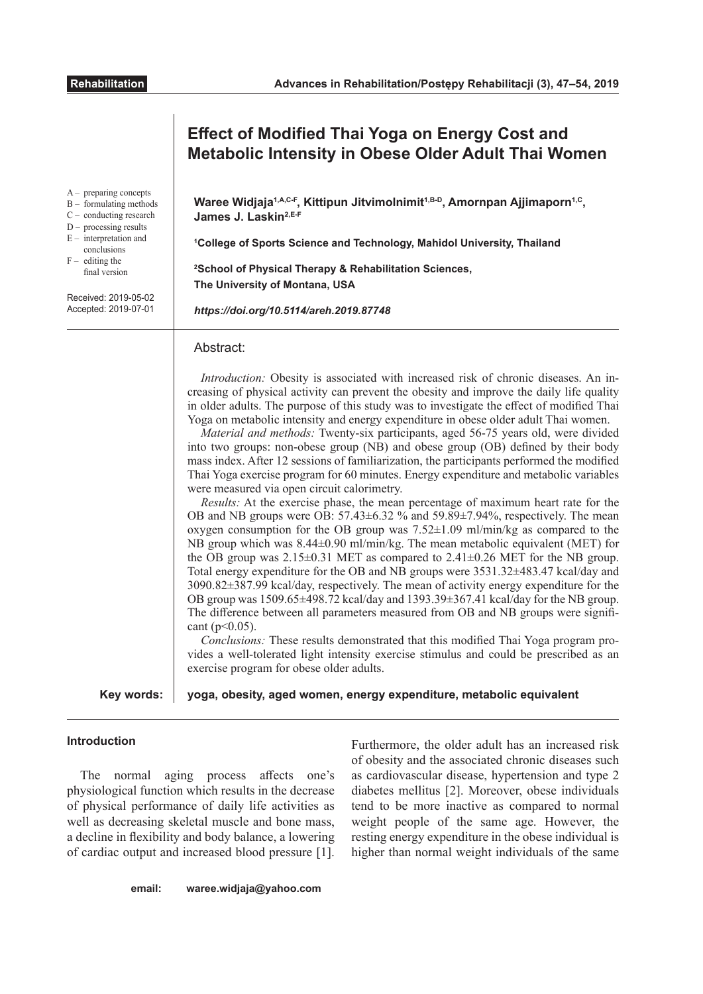| <b>Effect of Modified Thai Yoga on Energy Cost and</b><br><b>Metabolic Intensity in Obese Older Adult Thai Women</b>                                                                                                                                                                                                                                                                                                                                                                                                                                                                                                                                                                                                                                                                                                                                                                                                                                                                                                                                                                                                                                                                                                                                                                                                                                                                                                                                                                                                                                                                                                                                                                                                                                                                                                                                              |
|-------------------------------------------------------------------------------------------------------------------------------------------------------------------------------------------------------------------------------------------------------------------------------------------------------------------------------------------------------------------------------------------------------------------------------------------------------------------------------------------------------------------------------------------------------------------------------------------------------------------------------------------------------------------------------------------------------------------------------------------------------------------------------------------------------------------------------------------------------------------------------------------------------------------------------------------------------------------------------------------------------------------------------------------------------------------------------------------------------------------------------------------------------------------------------------------------------------------------------------------------------------------------------------------------------------------------------------------------------------------------------------------------------------------------------------------------------------------------------------------------------------------------------------------------------------------------------------------------------------------------------------------------------------------------------------------------------------------------------------------------------------------------------------------------------------------------------------------------------------------|
| Waree Widjaja <sup>1,A,C-F</sup> , Kittipun Jitvimolnimit <sup>1,B-D</sup> , Amornpan Ajjimaporn <sup>1,C</sup> ,<br>James J. Laskin <sup>2,E-F</sup><br><sup>1</sup> College of Sports Science and Technology, Mahidol University, Thailand<br><sup>2</sup> School of Physical Therapy & Rehabilitation Sciences,<br>The University of Montana, USA<br>https://doi.org/10.5114/areh.2019.87748                                                                                                                                                                                                                                                                                                                                                                                                                                                                                                                                                                                                                                                                                                                                                                                                                                                                                                                                                                                                                                                                                                                                                                                                                                                                                                                                                                                                                                                                   |
| Abstract:<br>Introduction: Obesity is associated with increased risk of chronic diseases. An in-<br>creasing of physical activity can prevent the obesity and improve the daily life quality<br>in older adults. The purpose of this study was to investigate the effect of modified Thai<br>Yoga on metabolic intensity and energy expenditure in obese older adult Thai women.<br>Material and methods: Twenty-six participants, aged 56-75 years old, were divided<br>into two groups: non-obese group (NB) and obese group (OB) defined by their body<br>mass index. After 12 sessions of familiarization, the participants performed the modified<br>Thai Yoga exercise program for 60 minutes. Energy expenditure and metabolic variables<br>were measured via open circuit calorimetry.<br>Results: At the exercise phase, the mean percentage of maximum heart rate for the<br>OB and NB groups were OB: $57.43\pm6.32$ % and $59.89\pm7.94$ %, respectively. The mean<br>oxygen consumption for the OB group was $7.52\pm1.09$ ml/min/kg as compared to the<br>NB group which was $8.44\pm0.90$ ml/min/kg. The mean metabolic equivalent (MET) for<br>the OB group was $2.15\pm0.31$ MET as compared to $2.41\pm0.26$ MET for the NB group.<br>Total energy expenditure for the OB and NB groups were 3531.32±483.47 kcal/day and<br>3090.82±387.99 kcal/day, respectively. The mean of activity energy expenditure for the<br>OB group was 1509.65±498.72 kcal/day and 1393.39±367.41 kcal/day for the NB group.<br>The difference between all parameters measured from OB and NB groups were signifi-<br>cant ( $p<0.05$ ).<br>Conclusions: These results demonstrated that this modified Thai Yoga program pro-<br>vides a well-tolerated light intensity exercise stimulus and could be prescribed as an<br>exercise program for obese older adults. |
| yoga, obesity, aged women, energy expenditure, metabolic equivalent                                                                                                                                                                                                                                                                                                                                                                                                                                                                                                                                                                                                                                                                                                                                                                                                                                                                                                                                                                                                                                                                                                                                                                                                                                                                                                                                                                                                                                                                                                                                                                                                                                                                                                                                                                                               |
|                                                                                                                                                                                                                                                                                                                                                                                                                                                                                                                                                                                                                                                                                                                                                                                                                                                                                                                                                                                                                                                                                                                                                                                                                                                                                                                                                                                                                                                                                                                                                                                                                                                                                                                                                                                                                                                                   |

# **Introduction**

The normal aging process affects one's physiological function which results in the decrease of physical performance of daily life activities as well as decreasing skeletal muscle and bone mass, a decline in flexibility and body balance, a lowering of cardiac output and increased blood pressure [1].

Furthermore, the older adult has an increased risk of obesity and the associated chronic diseases such as cardiovascular disease, hypertension and type 2 diabetes mellitus [2]. Moreover, obese individuals tend to be more inactive as compared to normal weight people of the same age. However, the resting energy expenditure in the obese individual is higher than normal weight individuals of the same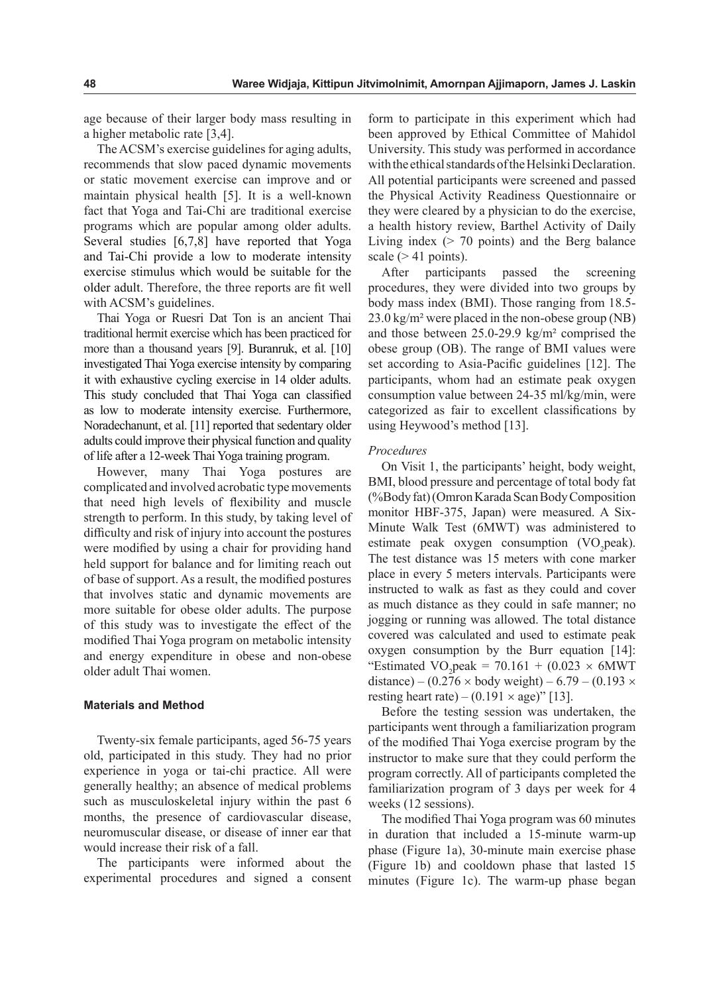age because of their larger body mass resulting in a higher metabolic rate [3,4].

The ACSM's exercise guidelines for aging adults, recommends that slow paced dynamic movements or static movement exercise can improve and or maintain physical health [5]. It is a well-known fact that Yoga and Tai-Chi are traditional exercise programs which are popular among older adults. Several studies [6,7,8] have reported that Yoga and Tai-Chi provide a low to moderate intensity exercise stimulus which would be suitable for the older adult. Therefore, the three reports are fit well with ACSM's guidelines.

Thai Yoga or Ruesri Dat Ton is an ancient Thai traditional hermit exercise which has been practiced for more than a thousand years [9]. Buranruk, et al. [10] investigated Thai Yoga exercise intensity by comparing it with exhaustive cycling exercise in 14 older adults. This study concluded that Thai Yoga can classified as low to moderate intensity exercise. Furthermore, Noradechanunt, et al. [11] reported that sedentary older adults could improve their physical function and quality of life after a 12-week Thai Yoga training program.

However, many Thai Yoga postures are complicated and involved acrobatic type movements that need high levels of flexibility and muscle strength to perform. In this study, by taking level of difficulty and risk of injury into account the postures were modified by using a chair for providing hand held support for balance and for limiting reach out of base of support. As a result, the modified postures that involves static and dynamic movements are more suitable for obese older adults. The purpose of this study was to investigate the effect of the modified Thai Yoga program on metabolic intensity and energy expenditure in obese and non-obese older adult Thai women.

# **Materials and Method**

Twenty-six female participants, aged 56-75 years old, participated in this study. They had no prior experience in yoga or tai-chi practice. All were generally healthy; an absence of medical problems such as musculoskeletal injury within the past 6 months, the presence of cardiovascular disease, neuromuscular disease, or disease of inner ear that would increase their risk of a fall.

The participants were informed about the experimental procedures and signed a consent form to participate in this experiment which had been approved by Ethical Committee of Mahidol University. This study was performed in accordance with the ethical standards of the Helsinki Declaration. All potential participants were screened and passed the Physical Activity Readiness Questionnaire or they were cleared by a physician to do the exercise, a health history review, Barthel Activity of Daily Living index  $($  > 70 points) and the Berg balance scale  $(> 41$  points).

After participants passed the screening procedures, they were divided into two groups by body mass index (BMI). Those ranging from 18.5- 23.0 kg/m² were placed in the non-obese group (NB) and those between 25.0-29.9 kg/m² comprised the obese group (OB). The range of BMI values were set according to Asia-Pacific guidelines [12]. The participants, whom had an estimate peak oxygen consumption value between 24-35 ml/kg/min, were categorized as fair to excellent classifications by using Heywood's method [13].

#### *Procedures*

On Visit 1, the participants' height, body weight, BMI, blood pressure and percentage of total body fat (%Body fat) (Omron Karada Scan Body Composition monitor HBF-375, Japan) were measured. A Six-Minute Walk Test (6MWT) was administered to estimate peak oxygen consumption  $(VO<sub>2</sub>peak)$ . The test distance was 15 meters with cone marker place in every 5 meters intervals. Participants were instructed to walk as fast as they could and cover as much distance as they could in safe manner; no jogging or running was allowed. The total distance covered was calculated and used to estimate peak oxygen consumption by the Burr equation [14]: "Estimated  $VO_2$ peak = 70.161 + (0.023 × 6MWT)" distance) – (0.276  $\times$  body weight) – 6.79 – (0.193  $\times$ resting heart rate) –  $(0.191 \times age)$ " [13].

Before the testing session was undertaken, the participants went through a familiarization program of the modified Thai Yoga exercise program by the instructor to make sure that they could perform the program correctly. All of participants completed the familiarization program of 3 days per week for 4 weeks (12 sessions).

The modified Thai Yoga program was 60 minutes in duration that included a 15-minute warm-up phase (Figure 1a), 30-minute main exercise phase (Figure 1b) and cooldown phase that lasted 15 minutes (Figure 1c). The warm-up phase began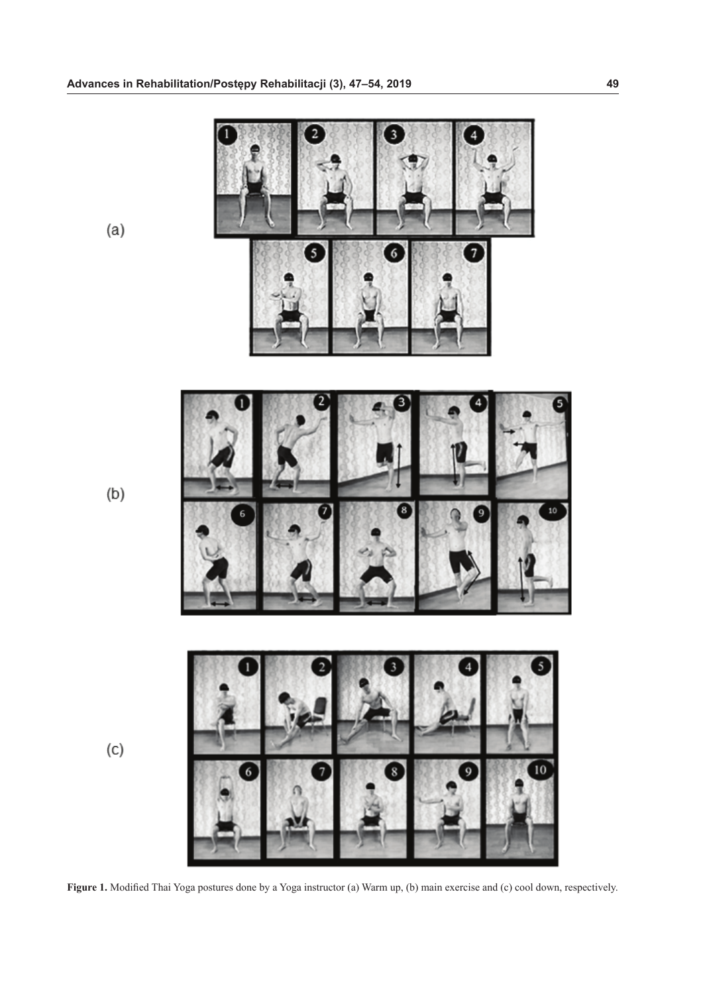

**Figure 1.** Modified Thai Yoga postures done by a Yoga instructor (a) Warm up, (b) main exercise and (c) cool down, respectively.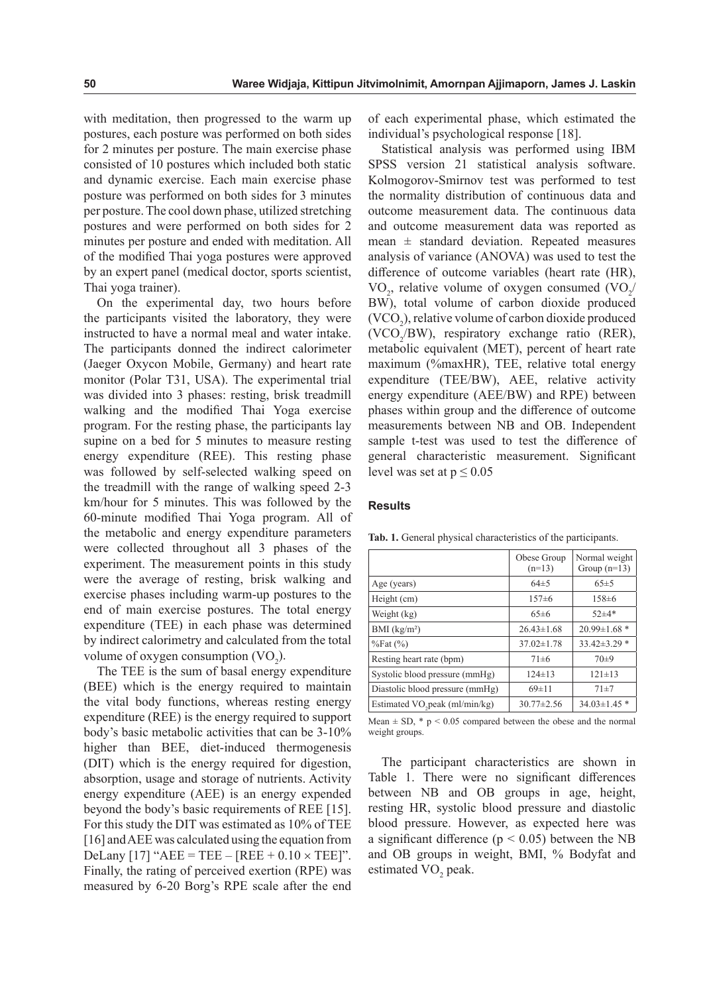with meditation, then progressed to the warm up postures, each posture was performed on both sides for 2 minutes per posture. The main exercise phase consisted of 10 postures which included both static and dynamic exercise. Each main exercise phase posture was performed on both sides for 3 minutes per posture. The cool down phase, utilized stretching postures and were performed on both sides for 2 minutes per posture and ended with meditation. All of the modified Thai yoga postures were approved by an expert panel (medical doctor, sports scientist, Thai yoga trainer).

On the experimental day, two hours before the participants visited the laboratory, they were instructed to have a normal meal and water intake. The participants donned the indirect calorimeter (Jaeger Oxycon Mobile, Germany) and heart rate monitor (Polar T31, USA). The experimental trial was divided into 3 phases: resting, brisk treadmill walking and the modified Thai Yoga exercise program. For the resting phase, the participants lay supine on a bed for 5 minutes to measure resting energy expenditure (REE). This resting phase was followed by self-selected walking speed on the treadmill with the range of walking speed 2-3 km/hour for 5 minutes. This was followed by the 60-minute modified Thai Yoga program. All of the metabolic and energy expenditure parameters were collected throughout all 3 phases of the experiment. The measurement points in this study were the average of resting, brisk walking and exercise phases including warm-up postures to the end of main exercise postures. The total energy expenditure (TEE) in each phase was determined by indirect calorimetry and calculated from the total volume of oxygen consumption  $(\text{VO}_2)$ .

The TEE is the sum of basal energy expenditure (BEE) which is the energy required to maintain the vital body functions, whereas resting energy expenditure (REE) is the energy required to support body's basic metabolic activities that can be 3-10% higher than BEE, diet-induced thermogenesis (DIT) which is the energy required for digestion, absorption, usage and storage of nutrients. Activity energy expenditure (AEE) is an energy expended beyond the body's basic requirements of REE [15]. For this study the DIT was estimated as 10% of TEE [16] and AEE was calculated using the equation from DeLany [17] " $AEE = TEE - [REE + 0.10 \times TEE]$ ". Finally, the rating of perceived exertion (RPE) was measured by 6-20 Borg's RPE scale after the end

of each experimental phase, which estimated the individual's psychological response [18].

Statistical analysis was performed using IBM SPSS version 21 statistical analysis software. Kolmogorov-Smirnov test was performed to test the normality distribution of continuous data and outcome measurement data. The continuous data and outcome measurement data was reported as mean  $\pm$  standard deviation. Repeated measures analysis of variance (ANOVA) was used to test the difference of outcome variables (heart rate (HR),  $\text{VO}_2$ , relative volume of oxygen consumed  $(\text{VO}_2)$ BW), total volume of carbon dioxide produced  $(VCO<sub>2</sub>)$ , relative volume of carbon dioxide produced (VCO<sub>2</sub>/BW), respiratory exchange ratio (RER), metabolic equivalent (MET), percent of heart rate maximum (%maxHR), TEE, relative total energy expenditure (TEE/BW), AEE, relative activity energy expenditure (AEE/BW) and RPE) between phases within group and the difference of outcome measurements between NB and OB. Independent sample t-test was used to test the difference of general characteristic measurement. Significant level was set at  $p \leq 0.05$ 

#### **Results**

|                                            | Obese Group<br>$(n=13)$ | Normal weight<br>Group $(n=13)$ |
|--------------------------------------------|-------------------------|---------------------------------|
| Age (years)                                | $64\pm5$                | 65±5                            |
| Height (cm)                                | $157\pm 6$              | $158 \pm 6$                     |
| Weight (kg)                                | 65±6                    | $52 + 4*$                       |
| BMI (kg/m <sup>2</sup> )                   | $26.43\pm1.68$          | $20.99 \pm 1.68$ *              |
| $\%$ Fat $(\%)$                            | $37.02 \pm 1.78$        | $33.42 \pm 3.29$ *              |
| Resting heart rate (bpm)                   | $71 \pm 6$              | $70+9$                          |
| Systolic blood pressure (mmHg)             | $124 \pm 13$            | $121 \pm 13$                    |
| Diastolic blood pressure (mmHg)            | $69 \pm 11$             | $71 + 7$                        |
| Estimated VO <sub>2</sub> peak (ml/min/kg) | $30.77 \pm 2.56$        | $34.03 \pm 1.45$ *              |

**Tab. 1.** General physical characteristics of the participants.

Mean  $\pm$  SD,  $*$  p < 0.05 compared between the obese and the normal weight groups.

The participant characteristics are shown in Table 1. There were no significant differences between NB and OB groups in age, height, resting HR, systolic blood pressure and diastolic blood pressure. However, as expected here was a significant difference ( $p < 0.05$ ) between the NB and OB groups in weight, BMI, % Bodyfat and estimated VO<sub>2</sub> peak.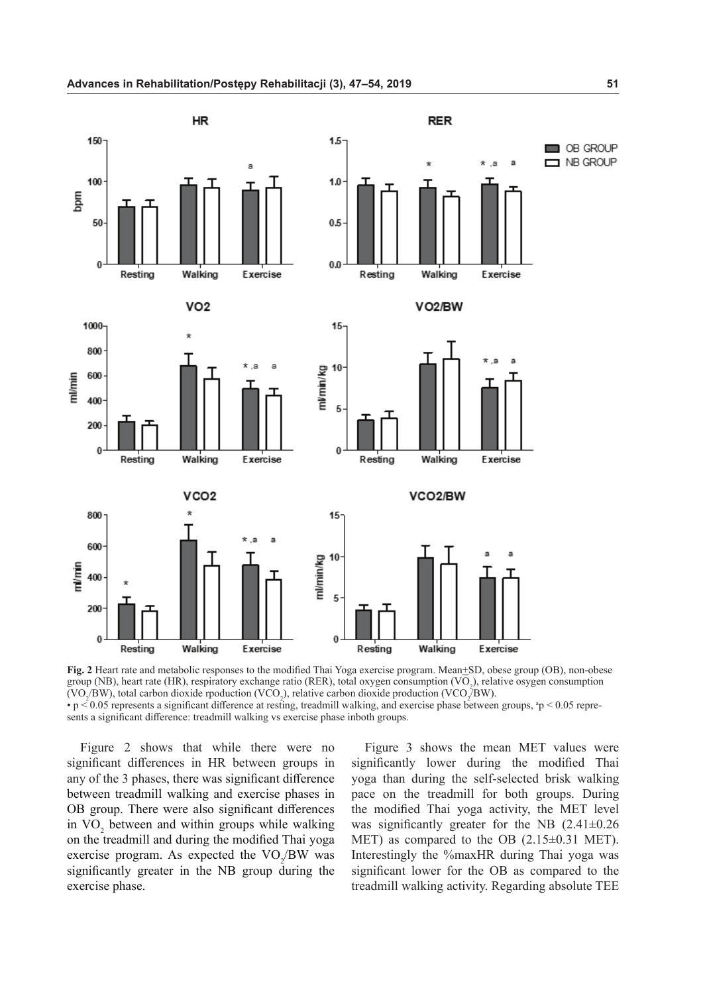

**Fig. 2** Heart rate and metabolic responses to the modified Thai Yoga exercise program. Mean+SD, obese group (OB), non-obese group (NB), heart rate (HR), respiratory exchange ratio (RER), total oxygen consumption (VO<sub>2</sub>), relative osygen consumption (VO<sub>2</sub>/BW), total carbon dioxide rpoduction (VCO<sub>2</sub>), relative carbon dioxide production (VCO<sub>2</sub>/BW). •  $p \le 0.05$  represents a significant difference at resting, treadmill walking, and exercise phase between groups,  $p \le 0.05$  represents a significant difference: treadmill walking vs exercise phase inboth groups.

Figure 2 shows that while there were no significant differences in HR between groups in any of the 3 phases, there was significant difference between treadmill walking and exercise phases in OB group. There were also significant differences in  $VO_2$  between and within groups while walking on the treadmill and during the modified Thai yoga exercise program. As expected the  $VO_2/BW$  was significantly greater in the NB group during the exercise phase.

Figure 3 shows the mean MET values were significantly lower during the modified Thai yoga than during the self-selected brisk walking pace on the treadmill for both groups. During the modified Thai yoga activity, the MET level was significantly greater for the NB (2.41±0.26 MET) as compared to the OB (2.15±0.31 MET). Interestingly the %maxHR during Thai yoga was significant lower for the OB as compared to the treadmill walking activity. Regarding absolute TEE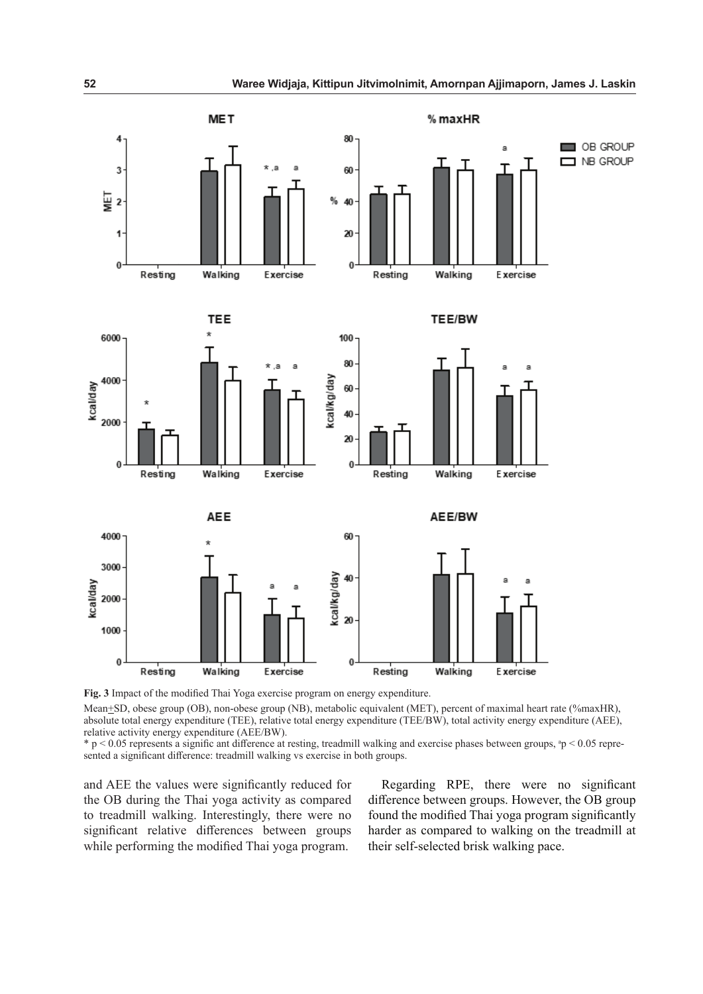

**Fig. 3** Impact of the modified Thai Yoga exercise program on energy expenditure.

Mean+SD, obese group (OB), non-obese group (NB), metabolic equivalent (MET), percent of maximal heart rate (%maxHR), absolute total energy expenditure (TEE), relative total energy expenditure (TEE/BW), total activity energy expenditure (AEE), relative activity energy expenditure (AEE/BW).

 $p \leq 0.05$  represents a signific ant difference at resting, treadmill walking and exercise phases between groups,  $p \leq 0.05$  represented a significant difference: treadmill walking vs exercise in both groups.

and AEE the values were significantly reduced for the OB during the Thai yoga activity as compared to treadmill walking. Interestingly, there were no significant relative differences between groups while performing the modified Thai yoga program.

Regarding RPE, there were no significant difference between groups. However, the OB group found the modified Thai yoga program significantly harder as compared to walking on the treadmill at their self-selected brisk walking pace.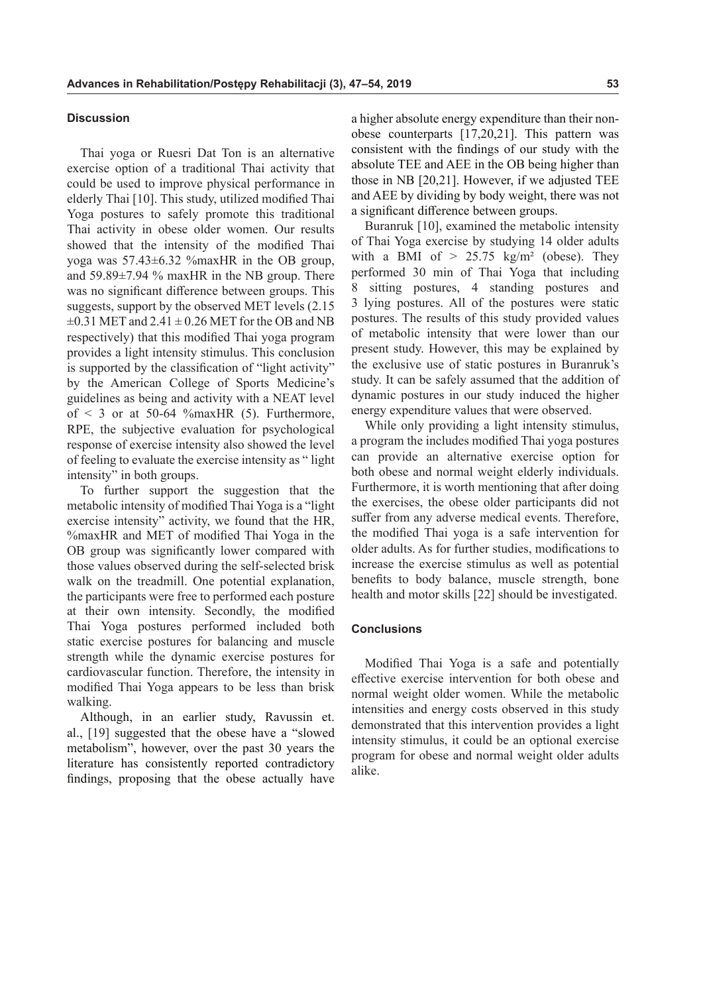### **Discussion**

Thai yoga or Ruesri Dat Ton is an alternative exercise option of a traditional Thai activity that could be used to improve physical performance in elderly Thai [10]. This study, utilized modified Thai Yoga postures to safely promote this traditional Thai activity in obese older women. Our results showed that the intensity of the modified Thai yoga was 57.43±6.32 %maxHR in the OB group, and 59.89±7.94 % maxHR in the NB group. There was no significant difference between groups. This suggests, support by the observed MET levels (2.15  $\pm 0.31$  MET and  $2.41 \pm 0.26$  MET for the OB and NB respectively) that this modified Thai yoga program provides a light intensity stimulus. This conclusion is supported by the classification of "light activity" by the American College of Sports Medicine's guidelines as being and activity with a NEAT level of  $\leq$  3 or at 50-64 % max HR (5). Furthermore, RPE, the subjective evaluation for psychological response of exercise intensity also showed the level of feeling to evaluate the exercise intensity as " light intensity" in both groups.

To further support the suggestion that the metabolic intensity of modified Thai Yoga is a "light exercise intensity" activity, we found that the HR, %maxHR and MET of modified Thai Yoga in the OB group was significantly lower compared with those values observed during the self-selected brisk walk on the treadmill. One potential explanation, the participants were free to performed each posture at their own intensity. Secondly, the modified Thai Yoga postures performed included both static exercise postures for balancing and muscle strength while the dynamic exercise postures for cardiovascular function. Therefore, the intensity in modified Thai Yoga appears to be less than brisk walking.

Although, in an earlier study, Ravussin et. al., [19] suggested that the obese have a "slowed metabolism", however, over the past 30 years the literature has consistently reported contradictory findings, proposing that the obese actually have a higher absolute energy expenditure than their nonobese counterparts [17,20,21]. This pattern was consistent with the findings of our study with the absolute TEE and AEE in the OB being higher than those in NB [20,21]. However, if we adjusted TEE and AEE by dividing by body weight, there was not a significant difference between groups.

Buranruk [10], examined the metabolic intensity of Thai Yoga exercise by studying 14 older adults with a BMI of  $> 25.75$  kg/m<sup>2</sup> (obese). They performed 30 min of Thai Yoga that including 8 sitting postures, 4 standing postures and 3 lying postures. All of the postures were static postures. The results of this study provided values of metabolic intensity that were lower than our present study. However, this may be explained by the exclusive use of static postures in Buranruk's study. It can be safely assumed that the addition of dynamic postures in our study induced the higher energy expenditure values that were observed.

While only providing a light intensity stimulus, a program the includes modified Thai yoga postures can provide an alternative exercise option for both obese and normal weight elderly individuals. Furthermore, it is worth mentioning that after doing the exercises, the obese older participants did not suffer from any adverse medical events. Therefore, the modified Thai yoga is a safe intervention for older adults. As for further studies, modifications to increase the exercise stimulus as well as potential benefits to body balance, muscle strength, bone health and motor skills [22] should be investigated.

## **Conclusions**

Modified Thai Yoga is a safe and potentially effective exercise intervention for both obese and normal weight older women. While the metabolic intensities and energy costs observed in this study demonstrated that this intervention provides a light intensity stimulus, it could be an optional exercise program for obese and normal weight older adults alike.